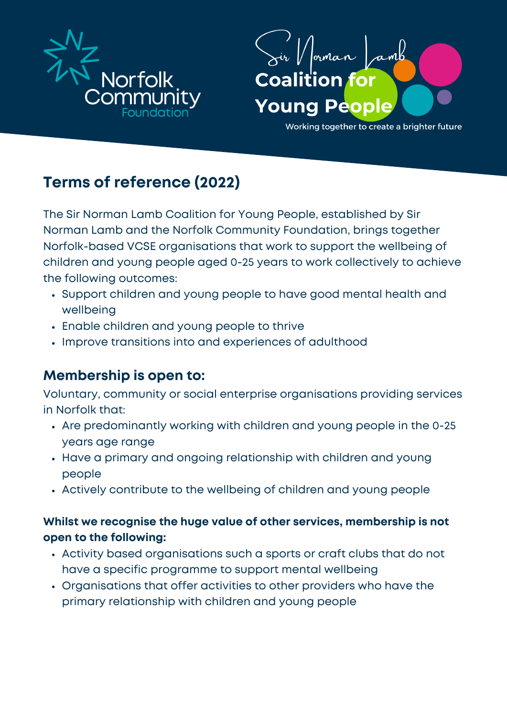



Working together to create a brighter future

# **Terms of reference (2022)**

The Sir Norman Lamb Coalition for Young People, established by Sir Norman Lamb and the Norfolk Community Foundation, brings together Norfolk-based VCSE organisations that work to support the wellbeing of children and young people aged 0-25 years to work collectively to achieve the following outcomes:

- Support children and young people to have good mental health and wellbeing
- Enable children and young people to thrive
- Improve transitions into and experiences of adulthood

### **Membership is open to:**

Voluntary, community or social enterprise organisations providing services in Norfolk that:

- Are predominantly working with children and young people in the 0-25 years age range
- Have a primary and ongoing relationship with children and young people
- Actively contribute to the wellbeing of children and young people

#### **Whilst we recognise the huge value of other services, membership is not open to the following:**

- Activity based organisations such a sports or craft clubs that do not have a specific programme to support mental wellbeing
- Organisations that offer activities to other providers who have the primary relationship with children and young people